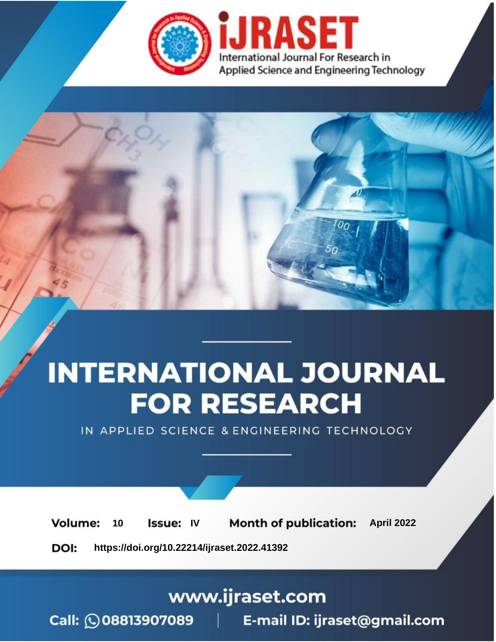

# **INTERNATIONAL JOURNAL FOR RESEARCH**

IN APPLIED SCIENCE & ENGINEERING TECHNOLOGY

10 **Issue: IV Month of publication:** April 2022 **Volume:** 

**https://doi.org/10.22214/ijraset.2022.41392**DOI:

www.ijraset.com

Call: 008813907089 | E-mail ID: ijraset@gmail.com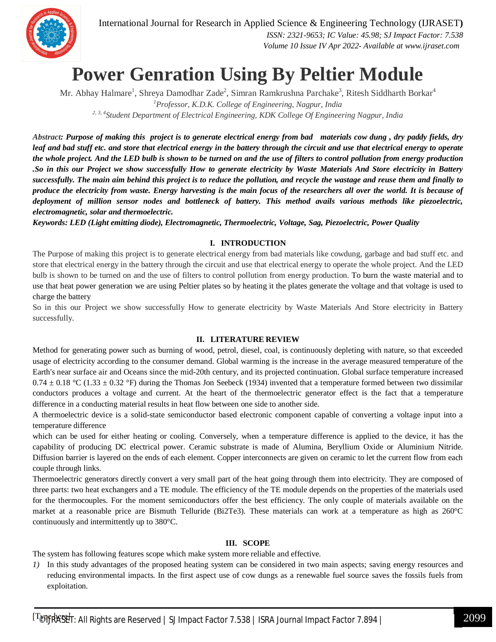International Journal for Research in Applied Science & Engineering Technology (IJRASET**)**

 *ISSN: 2321-9653; IC Value: 45.98; SJ Impact Factor: 7.538 Volume 10 Issue IV Apr 2022- Available at www.ijraset.com*

### **Power Genration Using By Peltier Module**

Mr. Abhay Halmare<sup>1</sup>, Shreya Damodhar Zade<sup>2</sup>, Simran Ramkrushna Parchake<sup>3</sup>, Ritesh Siddharth Borkar<sup>4</sup> *<sup>1</sup>Professor, K.D.K. College of Engineering, Nagpur, India 2, 3, 4 Student Department of Electrical Engineering, KDK College Of Engineering Nagpur, India*

*Abstract: Purpose of making this project is to generate electrical energy from bad materials cow dung , dry paddy fields, dry leaf and bad stuff etc. and store that electrical energy in the battery through the circuit and use that electrical energy to operate the whole project. And the LED bulb is shown to be turned on and the use of filters to control pollution from energy production .So in this our Project we show successfully How to generate electricity by Waste Materials And Store electricity in Battery successfully. The main aim behind this project is to reduce the pollution, and recycle the wastage and reuse them and finally to produce the electricity from waste. Energy harvesting is the main focus of the researchers all over the world. It is because of deployment of million sensor nodes and bottleneck of battery. This method avails various methods like piezoelectric, electromagnetic, solar and thermoelectric.*

*Keywords: LED (Light emitting diode), Electromagnetic, Thermoelectric, Voltage, Sag, Piezoelectric, Power Quality*

#### **I. INTRODUCTION**

The Purpose of making this project is to generate electrical energy from bad materials like cowdung, garbage and bad stuff etc. and store that electrical energy in the battery through the circuit and use that electrical energy to operate the whole project. And the LED bulb is shown to be turned on and the use of filters to control pollution from energy production. To burn the waste material and to use that heat power generation we are using Peltier plates so by heating it the plates generate the voltage and that voltage is used to charge the battery

So in this our Project we show successfully How to generate electricity by Waste Materials And Store electricity in Battery successfully.

#### **II. LITERATURE REVIEW**

Method for generating power such as burning of wood, petrol, diesel, coal, is continuously depleting with nature, so that exceeded usage of electricity according to the consumer demand. Global warming is the increase in the average measured temperature of the Earth's near surface air and Oceans since the mid-20th century, and its projected continuation. Global surface temperature increased  $0.74 \pm 0.18$  °C (1.33  $\pm$  0.32 °F) during the Thomas Jon Seebeck (1934) invented that a temperature formed between two dissimilar conductors produces a voltage and current. At the heart of the thermoelectric generator effect is the fact that a temperature difference in a conducting material results in heat flow between one side to another side.

A thermoelectric device is a solid-state semiconductor based electronic component capable of converting a voltage input into a temperature difference

which can be used for either heating or cooling. Conversely, when a temperature difference is applied to the device, it has the capability of producing DC electrical power. Ceramic substrate is made of Alumina, Beryllium Oxide or Aluminium Nitride. Diffusion barrier is layered on the ends of each element. Copper interconnects are given on ceramic to let the current flow from each couple through links.

Thermoelectric generators directly convert a very small part of the heat going through them into electricity. They are composed of three parts: two heat exchangers and a TE module. The efficiency of the TE module depends on the properties of the materials used for the thermocouples. For the moment semiconductors offer the best efficiency. The only couple of materials available on the market at a reasonable price are Bismuth Telluride (Bi2Te3). These materials can work at a temperature as high as 260°C continuously and intermittently up to 380°C.

#### **III. SCOPE**

The system has following features scope which make system more reliable and effective.

*1)* In this study advantages of the proposed heating system can be considered in two main aspects; saving energy resources and reducing environmental impacts. In the first aspect use of cow dungs as a renewable fuel source saves the fossils fuels from exploitation.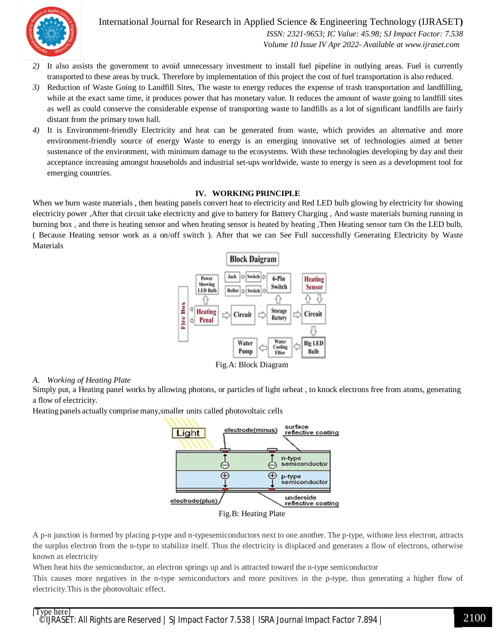

International Journal for Research in Applied Science & Engineering Technology (IJRASET**)**  *ISSN: 2321-9653; IC Value: 45.98; SJ Impact Factor: 7.538 Volume 10 Issue IV Apr 2022- Available at www.ijraset.com*

- *2)* It also assists the government to avoid unnecessary investment to install fuel pipeline in outlying areas. Fuel is currently transported to these areas by truck. Therefore by implementation of this project the cost of fuel transportation is also reduced.
- *3)* Reduction of Waste Going to Landfill Sites, The waste to energy reduces the expense of trash transportation and landfilling, while at the exact same time, it produces power that has monetary value. It reduces the amount of waste going to landfill sites as well as could conserve the considerable expense of transporting waste to landfills as a lot of significant landfills are fairly distant from the primary town hall.
- *4)* It is Environment-friendly Electricity and heat can be generated from waste, which provides an alternative and more environment-friendly source of energy Waste to energy is an emerging innovative set of technologies aimed at better sustenance of the environment, with minimum damage to the ecosystems. With these technologies developing by day and their acceptance increasing amongst households and industrial set-ups worldwide, waste to energy is seen as a development tool for emerging countries.

#### **IV. WORKING PRINCIPLE**

When we burn waste materials , then heating panels convert heat to electricity and Red LED bulb glowing by electricity for showing electricity power ,After that circuit take electricity and give to battery for Battery Charging , And waste materials burning running in burning box , and there is heating sensor and when heating sensor is heated by heating ,Then Heating sensor turn On the LED bulb, ( Because Heating sensor work as a on/off switch ). After that we can See Full successfully Generating Electricity by Waste Materials



Fig.A: Block Diagram

#### *A. Working of Heating Plate*

Simply put, a Heating panel works by allowing photons, or particles of light orheat , to knock electrons free from atoms, generating a flow of electricity.

Heating panels actually comprise many,smaller units called photovoltaic cells



Fig.B: Heating Plate

A p-n junction is formed by placing p-type and n-typesemiconductors next to one another. The p-type, withone less electron, attracts the surplus electron from the n-type to stabilize itself. Thus the electricity is displaced and generates a flow of electrons, otherwise known as electricity

When heat hits the semiconductor, an electron springs up and is attracted toward the n-type semiconductor

This causes more negatives in the n-type semiconductors and more positives in the p-type, thus generating a higher flow of electricity.This is the photovoltaic effect.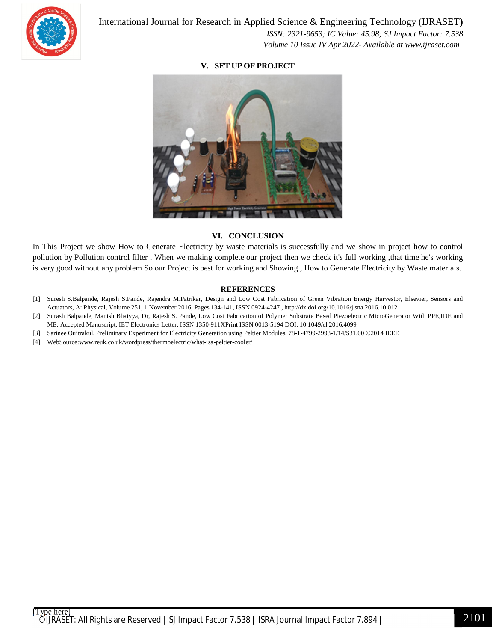

 *ISSN: 2321-9653; IC Value: 45.98; SJ Impact Factor: 7.538 Volume 10 Issue IV Apr 2022- Available at www.ijraset.com*

#### **V. SET UP OF PROJECT**



#### **VI. CONCLUSION**

In This Project we show How to Generate Electricity by waste materials is successfully and we show in project how to control pollution by Pollution control filter , When we making complete our project then we check it's full working ,that time he's working is very good without any problem So our Project is best for working and Showing , How to Generate Electricity by Waste materials.

#### **REFERENCES**

- [1] Suresh S.Balpande, Rajesh S.Pande, Rajendra M.Patrikar, Design and Low Cost Fabrication of Green Vibration Energy Harvestor, Elsevier, Sensors and Actuators, A: Physical, Volume 251, 1 November 2016, Pages 134-141, ISSN 0924-4247 , http://dx.doi.org/10.1016/j.sna.2016.10.012
- [2] Surash Balpande, Manish Bhaiyya, Dr, Rajesh S. Pande, Low Cost Fabrication of Polymer Substrate Based Piezoelectric MicroGenerator With PPE,IDE and ME, Accepted Manuscript, IET Electronics Letter, ISSN 1350-911XPrint ISSN 0013-5194 DOI: 10.1049/el.2016.4099
- [3] Sarinee Ouitrakul, Preliminary Experiment for Electricity Generation using Peltier Modules, 78-1-4799-2993-1/14/\$31.00 ©2014 IEEE
- [4] WebSource:www.reuk.co.uk/wordpress/thermoelectric/what-isa-peltier-cooler/